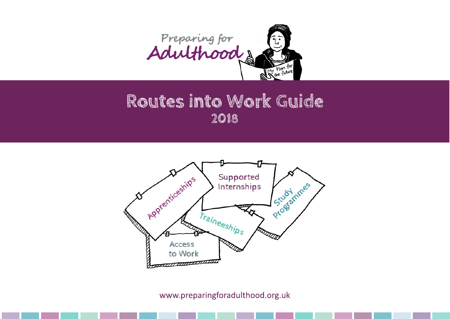

# **Routes into Work Guide 2018**



www.preparingforadulthood.org.uk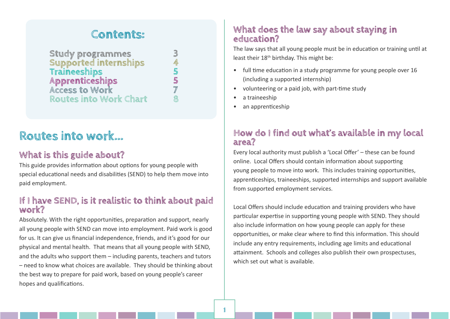# **Contents:**

| <b>Study programmes</b>       | 3          |
|-------------------------------|------------|
| <b>Supported internships</b>  | 4          |
| Traineeships                  | 5          |
| <b>Apprenticeships</b>        | 5          |
| <b>Access to Work</b>         | $\sqrt{2}$ |
| <b>Routes into Work Chart</b> | R          |

# **Routes into work...**

# **What is this guide about?**

This guide provides information about options for young people with special educational needs and disabilities (SEND) to help them move into paid employment.

# **If I have SEND, is it realistic to think about paid work?**

Absolutely. With the right opportunities, preparation and support, nearly all young people with SEND can move into employment. Paid work is good for us. It can give us financial independence, friends, and it's good for our physical and mental health. That means that all young people with SEND, and the adults who support them – including parents, teachers and tutors – need to know what choices are available. They should be thinking about the best way to prepare for paid work, based on young people's career hopes and qualifications.

# **What does the law say about staying in education?**

The law says that all young people must be in education or training until at least their 18<sup>th</sup> birthday. This might be:

- full time education in a study programme for young people over 16 (including a supported internship)
- volunteering or a paid job, with part-time study
- a traineeship
- an apprenticeship

# **How do I find out what's available in my local area?**

Every local authority must publish a 'Local Offer' – these can be found online. Local Offers should contain information about supporting young people to move into work. This includes training opportunities, apprenticeships, traineeships, supported internships and support available from supported employment services.

Local Offers should include education and training providers who have particular expertise in supporting young people with SEND. They should also include information on how young people can apply for these opportunities, or make clear where to find this information. This should include any entry requirements, including age limits and educational attainment. Schools and colleges also publish their own prospectuses, which set out what is available.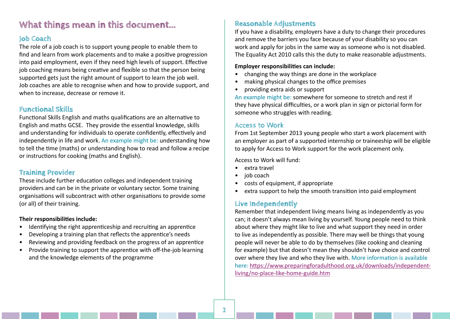# **What things mean in this document...**

# **Job Coach**

The role of a job coach is to support young people to enable them to find and learn from work placements and to make a positive progression into paid employment, even if they need high levels of support. Effective job coaching means being creative and flexible so that the person being supported gets just the right amount of support to learn the job well. Job coaches are able to recognise when and how to provide support, and when to increase, decrease or remove it.

# **Functional Skills**

Functional Skills English and maths qualifications are an alternative to English and maths GCSE. They provide the essential knowledge, skills and understanding for individuals to operate confidently, effectively and independently in life and work. An example might be: understanding how to tell the time (maths) or understanding how to read and follow a recipe or instructions for cooking (maths and English).

# **Training Provider**

These include further education colleges and independent training providers and can be in the private or voluntary sector. Some training organisations will subcontract with other organisations to provide some (or all) of their training.

#### **Their responsibilities include:**

- Identifying the right apprenticeship and recruiting an apprentice
- Developing a training plan that reflects the apprentice's needs
- Reviewing and providing feedback on the progress of an apprentice
- Provide training to support the apprentice with off-the-job learning and the knowledge elements of the programme

# **Reasonable Adjustments**

If you have a disability, employers have a duty to change their procedures and remove the barriers you face because of your disability so you can work and apply for jobs in the same way as someone who is not disabled. The Equality Act 2010 calls this the duty to make reasonable adjustments.

#### **Employer responsibilities can include:**

- changing the way things are done in the workplace
- making physical changes to the office premises
- providing extra aids or support

An example might be: somewhere for someone to stretch and rest if they have physical difficulties, or a work plan in sign or pictorial form for someone who struggles with reading.

## **A**ccess to Work

From 1st September 2013 young people who start a work placement with an employer as part of a supported internship or traineeship will be eligible to apply for Access to Work support for the work placement only.

Access to Work will fund:

- extra travel
- job coach
- costs of equipment, if appropriate
- extra support to help the smooth transition into paid employment

# **Live Independently**

Remember that independent living means living as independently as you can; it doesn't always mean living by yourself. Young people need to think about where they might like to live and what support they need in order to live as independently as possible. There may well be things that young people will never be able to do by themselves (like cooking and cleaning for example) but that doesn't mean they shouldn't have choice and control over where they live and who they live with. More information is available here: [https://www.preparingforadulthood.org.uk/downloads/independent](https://www.preparingforadulthood.org.uk/downloads/independent-living/no-place-like-home-guide.htm )[living/no-place-like-home-guide.htm](https://www.preparingforadulthood.org.uk/downloads/independent-living/no-place-like-home-guide.htm )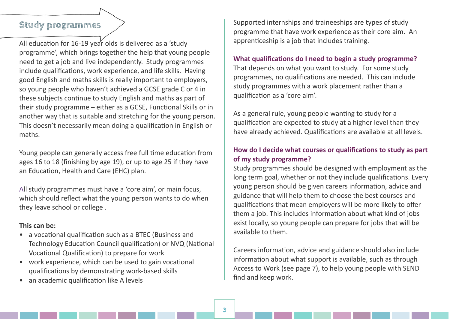# **Study programmes**

All education for 16-19 year olds is delivered as a 'study programme', which brings together the help that young people need to get a job and live independently. Study programmes include qualifications, work experience, and life skills. Having good English and maths skills is really important to employers, so young people who haven't achieved a GCSE grade C or 4 in these subjects continue to study English and maths as part of their study programme – either as a GCSE, Functional Skills or in another way that is suitable and stretching for the young person. This doesn't necessarily mean doing a qualification in English or maths.

Young people can generally access free full time education from ages 16 to 18 (finishing by age 19), or up to age 25 if they have an Education, Health and Care (EHC) plan.

All study programmes must have a 'core aim', or main focus, which should reflect what the young person wants to do when they leave school or college .

## **This can be:**

- a vocational qualification such as a BTEC (Business and Technology Education Council qualification) or NVQ (National Vocational Qualification) to prepare for work
- work experience, which can be used to gain vocational qualifications by demonstrating work-based skills
- an academic qualification like A levels

Supported internships and traineeships are types of study programme that have work experience as their core aim. An apprenticeship is a job that includes training.

#### **What qualifications do I need to begin a study programme?**

That depends on what you want to study. For some study programmes, no qualifications are needed. This can include study programmes with a work placement rather than a qualification as a 'core aim'.

As a general rule, young people wanting to study for a qualification are expected to study at a higher level than they have already achieved. Qualifications are available at all levels.

# **How do I decide what courses or qualifications to study as part of my study programme?**

Study programmes should be designed with employment as the long term goal, whether or not they include qualifications. Every young person should be given careers information, advice and guidance that will help them to choose the best courses and qualifications that mean employers will be more likely to offer them a job. This includes information about what kind of jobs exist locally, so young people can prepare for jobs that will be available to them.

Careers information, advice and guidance should also include information about what support is available, such as through Access to Work (see page 7), to help young people with SEND find and keep work.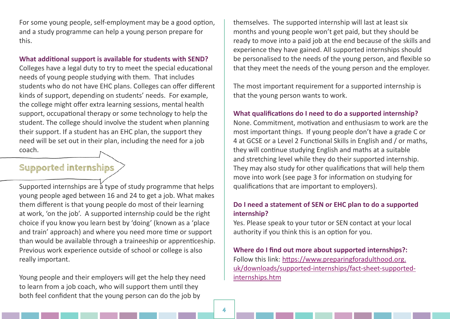For some young people, self-employment may be a good option, and a study programme can help a young person prepare for this.

#### **What additional support is available for students with SEND?**

Colleges have a legal duty to try to meet the special educational needs of young people studying with them. That includes students who do not have EHC plans. Colleges can offer different kinds of support, depending on students' needs. For example, the college might offer extra learning sessions, mental health support, occupational therapy or some technology to help the student. The college should involve the student when planning their support. If a student has an EHC plan, the support they need will be set out in their plan, including the need for a job coach.

# **Supported internships**

Supported internships are a type of study programme that helps young people aged between 16 and 24 to get a job. What makes them different is that young people do most of their learning at work, 'on the job'. A supported internship could be the right choice if you know you learn best by 'doing' (known as a 'place and train' approach) and where you need more time or support than would be available through a traineeship or apprenticeship. Previous work experience outside of school or college is also really important.

Young people and their employers will get the help they need to learn from a job coach, who will support them until they both feel confident that the young person can do the job by

themselves. The supported internship will last at least six months and young people won't get paid, but they should be ready to move into a paid job at the end because of the skills and experience they have gained. All supported internships should be personalised to the needs of the young person, and flexible so that they meet the needs of the young person and the employer.

The most important requirement for a supported internship is that the young person wants to work.

#### **What qualifications do I need to do a supported internship?**

None. Commitment, motivation and enthusiasm to work are the most important things. If young people don't have a grade C or 4 at GCSE or a Level 2 Functional Skills in English and / or maths, they will continue studying English and maths at a suitable and stretching level while they do their supported internship. They may also study for other qualifications that will help them move into work (see page 3 for information on studying for qualifications that are important to employers).

## **Do I need a statement of SEN or EHC plan to do a supported internship?**

Yes. Please speak to your tutor or SEN contact at your local authority if you think this is an option for you.

## **Where do I find out more about supported internships?:**  Follow this link: [https://www.preparingforadulthood.org.](https://www.preparingforadulthood.org.uk/downloads/supported-internships/fact-sheet-supported-internships.htm. ) [uk/downloads/supported-internships/fact-sheet-supported](https://www.preparingforadulthood.org.uk/downloads/supported-internships/fact-sheet-supported-internships.htm. )[internships.htm](https://www.preparingforadulthood.org.uk/downloads/supported-internships/fact-sheet-supported-internships.htm. )

**4**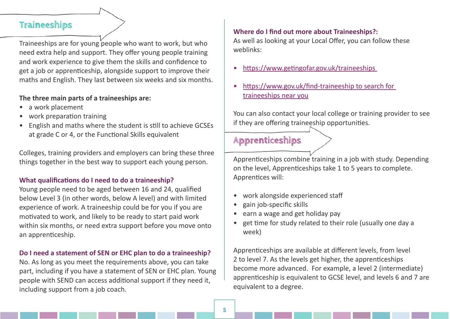# **Traineeships**

Traineeships are for young people who want to work, but who need extra help and support. They offer young people training and work experience to give them the skills and confidence to get a job or apprenticeship, alongside support to improve their maths and English. They last between six weeks and six months.

## **The three main parts of a traineeships are:**

- a work placement
- work preparation training
- English and maths where the student is still to achieve GCSEs at grade C or 4, or the Functional Skills equivalent

Colleges, training providers and employers can bring these three things together in the best way to support each young person.

# **What qualifications do I need to do a traineeship?**

Young people need to be aged between 16 and 24, qualified below Level 3 (in other words, below A level) and with limited experience of work. A traineeship could be for you if you are motivated to work, and likely to be ready to start paid work within six months, or need extra support before you move onto an apprenticeship.

## **Do I need a statement of SEN or EHC plan to do a traineeship?**

No. As long as you meet the requirements above, you can take part, including if you have a statement of SEN or EHC plan. Young people with SEND can access additional support if they need it, including support from a job coach.

## **Where do I find out more about Traineeships?:**

As well as looking at your Local Offer, you can follow these weblinks:

- [https://www.getingofar.gov.uk/traineeships](https://www.getingofar.gov.uk/traineeships )
- [https://www.gov.uk/find-traineeship to search for](https://www.gov.uk/find-traineeship to search for traineeships near you)  [traineeships near you](https://www.gov.uk/find-traineeship to search for traineeships near you)

You can also contact your local college or training provider to see if they are offering traineeship opportunities.

# **Apprenticeships**

Apprenticeships combine training in a job with study. Depending on the level, Apprenticeships take 1 to 5 years to complete. Apprentices will:

- work alongside experienced staff
- gain job-specific skills
- earn a wage and get holiday pay
- get time for study related to their role (usually one day a week)

Apprenticeships are available at different levels, from level 2 to level 7. As the levels get higher, the apprenticeships become more advanced. For example, a level 2 (intermediate) apprenticeship is equivalent to GCSE level, and levels 6 and 7 are equivalent to a degree.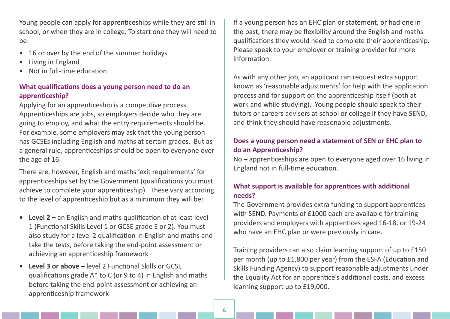Young people can apply for apprenticeships while they are still in school, or when they are in college. To start one they will need to be:

- 16 or over by the end of the summer holidays
- Living in England
- Not in full-time education

## **What qualifications does a young person need to do an apprenticeship?**

Applying for an apprenticeship is a competitive process. Apprenticeships are jobs, so employers decide who they are going to employ, and what the entry requirements should be. For example, some employers may ask that the young person has GCSEs including English and maths at certain grades. But as a general rule, apprenticeships should be open to everyone over the age of 16.

There are, however, English and maths 'exit requirements' for apprenticeships set by the Government (qualifications you must achieve to complete your apprenticeship). These vary according to the level of apprenticeship but as a minimum they will be:

- **• Level 2** an English and maths qualification of at least level 1 (Functional Skills Level 1 or GCSE grade E or 2). You must also study for a level 2 qualification in English and maths and take the tests, before taking the end-point assessment or achieving an apprenticeship framework
- **• Level 3 or above** level 2 Functional Skills or GCSE qualifications grade A\* to C (or 9 to 4) in English and maths before taking the end-point assessment or achieving an apprenticeship framework

If a young person has an EHC plan or statement, or had one in the past, there may be flexibility around the English and maths qualifications they would need to complete their apprenticeship. Please speak to your employer or training provider for more information.

As with any other job, an applicant can request extra support known as 'reasonable adjustments' for help with the application process and for support on the apprenticeship itself (both at work and while studying). Young people should speak to their tutors or careers advisers at school or college if they have SEND, and think they should have reasonable adjustments.

# **Does a young person need a statement of SEN or EHC plan to do an Apprenticeship?**

No – apprenticeships are open to everyone aged over 16 living in England not in full-time education.

# **What support is available for apprentices with additional needs?**

The Government provides extra funding to support apprentices with SEND. Payments of £1000 each are available for training providers and employers with apprentices aged 16-18, or 19-24 who have an EHC plan or were previously in care.

Training providers can also claim learning support of up to £150 per month (up to £1,800 per year) from the ESFA (Education and Skills Funding Agency) to support reasonable adjustments under the Equality Act for an apprentice's additional costs, and excess learning support up to £19,000.

**6**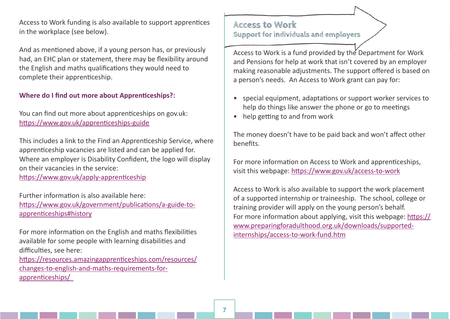Access to Work funding is also available to support apprentices in the workplace (see below).

And as mentioned above, if a young person has, or previously had, an EHC plan or statement, there may be flexibility around the English and maths qualifications they would need to complete their apprenticeship.

## **Where do I find out more about Apprenticeships?:**

You can find out more about apprenticeships on gov.uk: <https://www.gov.uk/apprenticeships-guide>

This includes a link to the Find an Apprenticeship Service, where apprenticeship vacancies are listed and can be applied for. Where an employer is Disability Confident, the logo will display on their vacancies in the service:

<https://www.gov.uk/apply-apprenticeship>

Further information is also available here: [https://www.gov.uk/government/publications/a-guide-to](https://www.gov.uk/government/publications/a-guide-to-apprenticeships#history)[apprenticeships#history](https://www.gov.uk/government/publications/a-guide-to-apprenticeships#history)

For more information on the English and maths flexibilities available for some people with learning disabilities and difficulties, see here:

[https://resources.amazingapprenticeships.com/resources/](https://resources.amazingapprenticeships.com/resources/changes-to-english-and-maths-requirements-for-apprenticeships/  ) [changes-to-english-and-maths-requirements-for](https://resources.amazingapprenticeships.com/resources/changes-to-english-and-maths-requirements-for-apprenticeships/  )[apprenticeships/](https://resources.amazingapprenticeships.com/resources/changes-to-english-and-maths-requirements-for-apprenticeships/  ) 

# **Access to Work Support for individuals and employers**

Access to Work is a fund provided by the Department for Work and Pensions for help at work that isn't covered by an employer making reasonable adjustments. The support offered is based on a person's needs. An Access to Work grant can pay for:

- special equipment, adaptations or support worker services to help do things like answer the phone or go to meetings
- help getting to and from work

The money doesn't have to be paid back and won't affect other benefits.

For more information on Access to Work and apprenticeships, visit this webpage: [https://www.gov.uk/access-to-work](https://www.gov.uk/access-to-work  )

Access to Work is also available to support the work placement of a supported internship or traineeship. The school, college or training provider will apply on the young person's behalf. For more information about applying, visit this webpage: [https://](https://www.preparingforadulthood.org.uk/downloads/supported-internships/access-to-work-fund.htm ) [www.preparingforadulthood.org.uk/downloads/supported](https://www.preparingforadulthood.org.uk/downloads/supported-internships/access-to-work-fund.htm )[internships/access-to-work-fund.htm](https://www.preparingforadulthood.org.uk/downloads/supported-internships/access-to-work-fund.htm )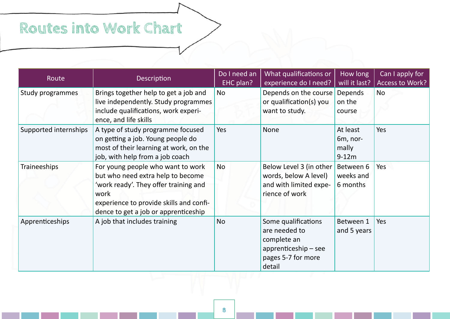# **Routes into Work Chart**

| Route                 | Description                                                                                                                                                                                                | Do I need an<br>EHC plan? | What qualifications or<br>experience do I need?                                                               | How long<br>will it last?                | Can I apply for<br>Access to Work? |
|-----------------------|------------------------------------------------------------------------------------------------------------------------------------------------------------------------------------------------------------|---------------------------|---------------------------------------------------------------------------------------------------------------|------------------------------------------|------------------------------------|
| Study programmes      | Brings together help to get a job and<br>live independently. Study programmes<br>include qualifications, work experi-<br>ence, and life skills                                                             | <b>No</b>                 | Depends on the course<br>or qualification(s) you<br>want to study.                                            | Depends<br>on the<br>course              | <b>No</b>                          |
| Supported internships | A type of study programme focused<br>on getting a job. Young people do<br>most of their learning at work, on the<br>job, with help from a job coach                                                        | Yes                       | <b>None</b>                                                                                                   | At least<br>6m, nor-<br>mally<br>$9-12m$ | Yes                                |
| <b>Traineeships</b>   | For young people who want to work<br>but who need extra help to become<br>'work ready'. They offer training and<br>work<br>experience to provide skills and confi-<br>dence to get a job or apprenticeship | <b>No</b>                 | Below Level 3 (in other<br>words, below A level)<br>and with limited expe-<br>rience of work                  | Between 6<br>weeks and<br>6 months       | Yes                                |
| Apprenticeships       | A job that includes training                                                                                                                                                                               | <b>No</b>                 | Some qualifications<br>are needed to<br>complete an<br>$apprenticeship - see$<br>pages 5-7 for more<br>detail | Between 1<br>and 5 years                 | Yes                                |